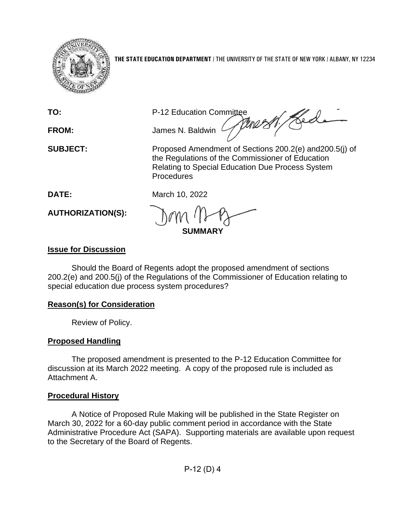

**THE STATE EDUCATION DEPARTMENT** / THE UNIVERSITY OF THE STATE OF NEW YORK / ALBANY, NY 12234

TO: P-12 Education Committee<br>FROM: James N. Baldwin Allen 2007 **FROM:** James N. Baldwin

**SUBJECT:** Proposed Amendment of Sections 200.2(e) and200.5(j) of the Regulations of the Commissioner of Education Relating to Special Education Due Process System Procedures

**DATE:** March 10, 2022

**AUTHORIZATION(S):**

**SUMMARY**

# **Issue for Discussion**

Should the Board of Regents adopt the proposed amendment of sections 200.2(e) and 200.5(j) of the Regulations of the Commissioner of Education relating to special education due process system procedures?

## **Reason(s) for Consideration**

Review of Policy.

# **Proposed Handling**

The proposed amendment is presented to the P-12 Education Committee for discussion at its March 2022 meeting. A copy of the proposed rule is included as Attachment A.

# **Procedural History**

A Notice of Proposed Rule Making will be published in the State Register on March 30, 2022 for a 60-day public comment period in accordance with the State Administrative Procedure Act (SAPA). Supporting materials are available upon request to the Secretary of the Board of Regents.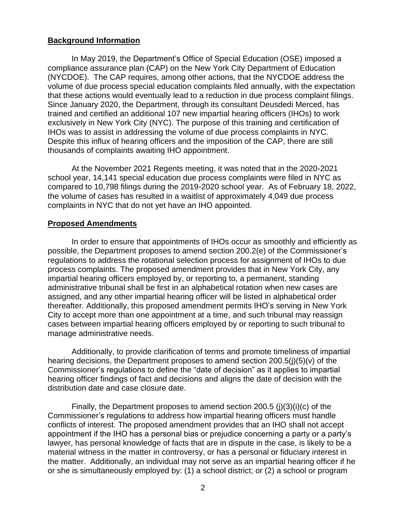#### **Background Information**

In May 2019, the Department's Office of Special Education (OSE) imposed a compliance assurance plan (CAP) on the New York City Department of Education (NYCDOE). The CAP requires, among other actions, that the NYCDOE address the volume of due process special education complaints filed annually, with the expectation that these actions would eventually lead to a reduction in due process complaint filings. Since January 2020, the Department, through its consultant Deusdedi Merced, has trained and certified an additional 107 new impartial hearing officers (IHOs) to work exclusively in New York City (NYC). The purpose of this training and certification of IHOs was to assist in addressing the volume of due process complaints in NYC. Despite this influx of hearing officers and the imposition of the CAP, there are still thousands of complaints awaiting IHO appointment.

At the November 2021 Regents meeting, it was noted that in the 2020-2021 school year, 14,141 special education due process complaints were filed in NYC as compared to 10,798 filings during the 2019-2020 school year. As of February 18, 2022, the volume of cases has resulted in a waitlist of approximately 4,049 due process complaints in NYC that do not yet have an IHO appointed.

### **Proposed Amendments**

In order to ensure that appointments of IHOs occur as smoothly and efficiently as possible, the Department proposes to amend section 200.2(e) of the Commissioner's regulations to address the rotational selection process for assignment of IHOs to due process complaints. The proposed amendment provides that in New York City, any impartial hearing officers employed by, or reporting to, a permanent, standing administrative tribunal shall be first in an alphabetical rotation when new cases are assigned, and any other impartial hearing officer will be listed in alphabetical order thereafter. Additionally, this proposed amendment permits IHO's serving in New York City to accept more than one appointment at a time, and such tribunal may reassign cases between impartial hearing officers employed by or reporting to such tribunal to manage administrative needs.

Additionally, to provide clarification of terms and promote timeliness of impartial hearing decisions, the Department proposes to amend section 200.5(j)(5)(v) of the Commissioner's regulations to define the "date of decision" as it applies to impartial hearing officer findings of fact and decisions and aligns the date of decision with the distribution date and case closure date.

Finally, the Department proposes to amend section 200.5 (i)(3)(i)(c) of the Commissioner's regulations to address how impartial hearing officers must handle conflicts of interest. The proposed amendment provides that an IHO shall not accept appointment if the IHO has a personal bias or prejudice concerning a party or a party's lawyer, has personal knowledge of facts that are in dispute in the case, is likely to be a material witness in the matter in controversy, or has a personal or fiduciary interest in the matter. Additionally, an individual may not serve as an impartial hearing officer if he or she is simultaneously employed by: (1) a school district; or (2) a school or program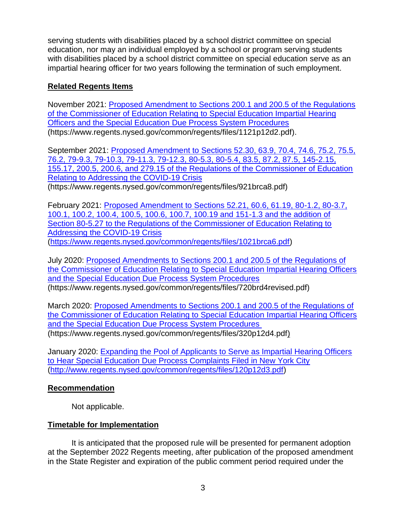serving students with disabilities placed by a school district committee on special education, nor may an individual employed by a school or program serving students with disabilities placed by a school district committee on special education serve as an impartial hearing officer for two years following the termination of such employment.

### **Related Regents Items**

November 2021: [Proposed Amendment to Sections 200.1 and 200.5 of the Regulations](https://www.regents.nysed.gov/common/regents/files/1121p12d2.pdf)  [of the Commissioner of Education Relating to Special Education Impartial Hearing](https://www.regents.nysed.gov/common/regents/files/1121p12d2.pdf)  [Officers and the Special Education Due Process System Procedures](https://www.regents.nysed.gov/common/regents/files/1121p12d2.pdf) (https://www.regents.nysed.gov/common/regents/files/1121p12d2.pdf).

September 2021: [Proposed Amendment to Sections 52.30, 63.9, 70.4, 74.6, 75.2, 75.5,](https://www.regents.nysed.gov/common/regents/files/921brca8.pdf)  [76.2, 79-9.3, 79-10.3, 79-11.3, 79-12.3, 80-5.3, 80-5.4, 83.5, 87.2, 87.5, 145-2.15,](https://www.regents.nysed.gov/common/regents/files/921brca8.pdf)  [155.17, 200.5, 200.6, and 279.15 of the Regulations of the Commissioner of Education](https://www.regents.nysed.gov/common/regents/files/921brca8.pdf)  [Relating to Addressing the COVID-19 Crisis](https://www.regents.nysed.gov/common/regents/files/921brca8.pdf) (https://www.regents.nysed.gov/common/regents/files/921brca8.pdf)

February 2021: [Proposed Amendment to Sections 52.21, 60.6, 61.19, 80-1.2, 80-3.7,](https://www.regents.nysed.gov/common/regents/files/1021brca6.pdf)  [100.1, 100.2, 100.4, 100.5, 100.6, 100.7, 100.19 and 151-1.3 and the addition of](https://www.regents.nysed.gov/common/regents/files/1021brca6.pdf)  [Section 80-5.27 to the Regulations of the Commissioner of Education Relating to](https://www.regents.nysed.gov/common/regents/files/1021brca6.pdf)  [Addressing the COVID-19 Crisis](https://www.regents.nysed.gov/common/regents/files/1021brca6.pdf) [\(https://www.regents.nysed.gov/common/regents/files/1021brca6.pdf\)](https://www.regents.nysed.gov/common/regents/files/1021brca6.pdf)

July 2020: [Proposed Amendments to Sections 200.1 and 200.5 of the Regulations of](https://www.regents.nysed.gov/common/regents/files/720brd4revised.pdf)  [the Commissioner of Education Relating to Special Education Impartial Hearing Officers](https://www.regents.nysed.gov/common/regents/files/720brd4revised.pdf)  [and the Special Education Due Process System Procedures](https://www.regents.nysed.gov/common/regents/files/720brd4revised.pdf) (https://www.regents.nysed.gov/common/regents/files/720brd4revised.pdf)

March 2020: [Proposed Amendments to Sections 200.1 and 200.5 of the Regulations of](https://www.regents.nysed.gov/common/regents/files/320p12d4.pdf)  [the Commissioner of Education Relating to Special Education Impartial Hearing Officers](https://www.regents.nysed.gov/common/regents/files/320p12d4.pdf)  [and the Special Education Due Process System Procedures](https://www.regents.nysed.gov/common/regents/files/320p12d4.pdf) (https://www.regents.nysed.gov/common/regents/files/320p12d4.pdf)

January 2020: [Expanding the Pool of Applicants to Serve as Impartial Hearing Officers](https://www.regents.nysed.gov/common/regents/files/120p12d3.pdf)  [to Hear Special Education Due Process Complaints Filed in New York City](https://www.regents.nysed.gov/common/regents/files/120p12d3.pdf) [\(http://www.regents.nysed.gov/common/regents/files/120p12d3.pdf\)](http://www.regents.nysed.gov/common/regents/files/120p12d3.pdf)

## **Recommendation**

Not applicable.

## **Timetable for Implementation**

It is anticipated that the proposed rule will be presented for permanent adoption at the September 2022 Regents meeting, after publication of the proposed amendment in the State Register and expiration of the public comment period required under the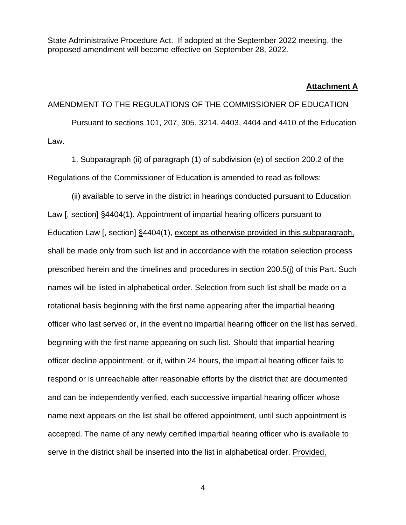State Administrative Procedure Act. If adopted at the September 2022 meeting, the proposed amendment will become effective on September 28, 2022.

#### **Attachment A**

AMENDMENT TO THE REGULATIONS OF THE COMMISSIONER OF EDUCATION Pursuant to sections 101, 207, 305, 3214, 4403, 4404 and 4410 of the Education Law.

1. Subparagraph (ii) of paragraph (1) of subdivision (e) of section 200.2 of the Regulations of the Commissioner of Education is amended to read as follows:

(ii) available to serve in the district in hearings conducted pursuant to Education Law [, section] §4404(1). Appointment of impartial hearing officers pursuant to Education Law [, section] §4404(1), except as otherwise provided in this subparagraph, shall be made only from such list and in accordance with the rotation selection process prescribed herein and the timelines and procedures in section 200.5(j) of this Part. Such names will be listed in alphabetical order. Selection from such list shall be made on a rotational basis beginning with the first name appearing after the impartial hearing officer who last served or, in the event no impartial hearing officer on the list has served, beginning with the first name appearing on such list. Should that impartial hearing officer decline appointment, or if, within 24 hours, the impartial hearing officer fails to respond or is unreachable after reasonable efforts by the district that are documented and can be independently verified, each successive impartial hearing officer whose name next appears on the list shall be offered appointment, until such appointment is accepted. The name of any newly certified impartial hearing officer who is available to serve in the district shall be inserted into the list in alphabetical order. Provided,

4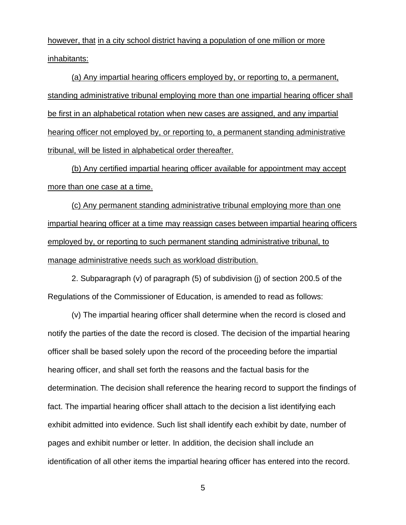however, that in a city school district having a population of one million or more inhabitants:

(a) Any impartial hearing officers employed by, or reporting to, a permanent, standing administrative tribunal employing more than one impartial hearing officer shall be first in an alphabetical rotation when new cases are assigned, and any impartial hearing officer not employed by, or reporting to, a permanent standing administrative tribunal, will be listed in alphabetical order thereafter.

(b) Any certified impartial hearing officer available for appointment may accept more than one case at a time.

(c) Any permanent standing administrative tribunal employing more than one impartial hearing officer at a time may reassign cases between impartial hearing officers employed by, or reporting to such permanent standing administrative tribunal, to manage administrative needs such as workload distribution.

2. Subparagraph (v) of paragraph (5) of subdivision (j) of section 200.5 of the Regulations of the Commissioner of Education, is amended to read as follows:

(v) The impartial hearing officer shall determine when the record is closed and notify the parties of the date the record is closed. The decision of the impartial hearing officer shall be based solely upon the record of the proceeding before the impartial hearing officer, and shall set forth the reasons and the factual basis for the determination. The decision shall reference the hearing record to support the findings of fact. The impartial hearing officer shall attach to the decision a list identifying each exhibit admitted into evidence. Such list shall identify each exhibit by date, number of pages and exhibit number or letter. In addition, the decision shall include an identification of all other items the impartial hearing officer has entered into the record.

5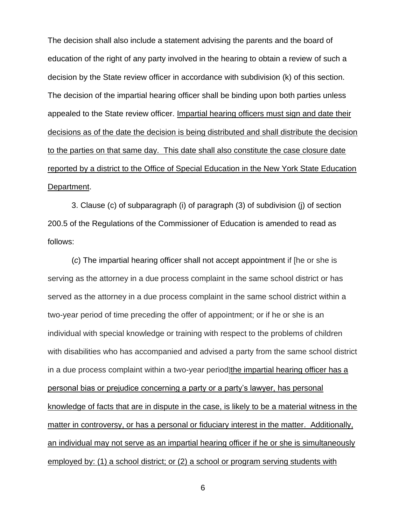The decision shall also include a statement advising the parents and the board of education of the right of any party involved in the hearing to obtain a review of such a decision by the State review officer in accordance with subdivision (k) of this section. The decision of the impartial hearing officer shall be binding upon both parties unless appealed to the State review officer. Impartial hearing officers must sign and date their decisions as of the date the decision is being distributed and shall distribute the decision to the parties on that same day. This date shall also constitute the case closure date reported by a district to the Office of Special Education in the New York State Education Department.

3. Clause (c) of subparagraph (i) of paragraph (3) of subdivision (j) of section 200.5 of the Regulations of the Commissioner of Education is amended to read as follows:

(*c*) The impartial hearing officer shall not accept appointment if [he or she is serving as the attorney in a due process complaint in the same school district or has served as the attorney in a due process complaint in the same school district within a two-year period of time preceding the offer of appointment; or if he or she is an individual with special knowledge or training with respect to the problems of children with disabilities who has accompanied and advised a party from the same school district in a due process complaint within a two-year period]the impartial hearing officer has a personal bias or prejudice concerning a party or a party's lawyer, has personal knowledge of facts that are in dispute in the case, is likely to be a material witness in the matter in controversy, or has a personal or fiduciary interest in the matter. Additionally, an individual may not serve as an impartial hearing officer if he or she is simultaneously employed by: (1) a school district; or (2) a school or program serving students with

6